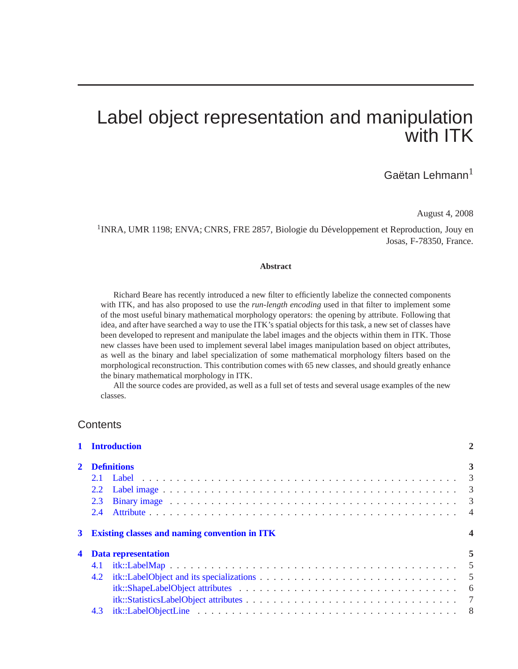# Label object representation and manipulation with ITK

# Gaëtan Lehmann $^{\rm l}$

August 4, 2008

<sup>1</sup>INRA, UMR 1198; ENVA; CNRS, FRE 2857, Biologie du Développement et Reproduction, Jouy en Josas, F-78350, France.

#### **Abstract**

Richard Beare has recently introduced a new filter to efficiently labelize the connected components with ITK, and has also proposed to use the *run-length encoding* used in that filter to implement some of the most useful binary mathematical morphology operators: the opening by attribute. Following that idea, and after have searched a way to use the ITK's spatial objects for this task, a new set of classes have been developed to represent and manipulate the label images and the objects within them in ITK. Those new classes have been used to implement several label images manipulation based on object attributes, as well as the binary and label specialization of some mathematical morphology filters based on the morphological reconstruction. This contribution comes with 65 new classes, and should greatly enhance the binary mathematical morphology in ITK.

All the source codes are provided, as well as a full set of tests and several usage examples of the new classes.

### **Contents**

|                                                           | 1 Introduction             | $\overline{2}$ |  |  |  |  |
|-----------------------------------------------------------|----------------------------|----------------|--|--|--|--|
|                                                           | <b>Definitions</b>         |                |  |  |  |  |
|                                                           |                            |                |  |  |  |  |
|                                                           |                            |                |  |  |  |  |
|                                                           | 2.3                        |                |  |  |  |  |
|                                                           |                            |                |  |  |  |  |
| <b>Existing classes and naming convention in ITK</b><br>3 |                            |                |  |  |  |  |
|                                                           | <b>Data representation</b> | 5              |  |  |  |  |
|                                                           | 4.1                        |                |  |  |  |  |
|                                                           |                            |                |  |  |  |  |
|                                                           |                            |                |  |  |  |  |
|                                                           |                            |                |  |  |  |  |
|                                                           |                            |                |  |  |  |  |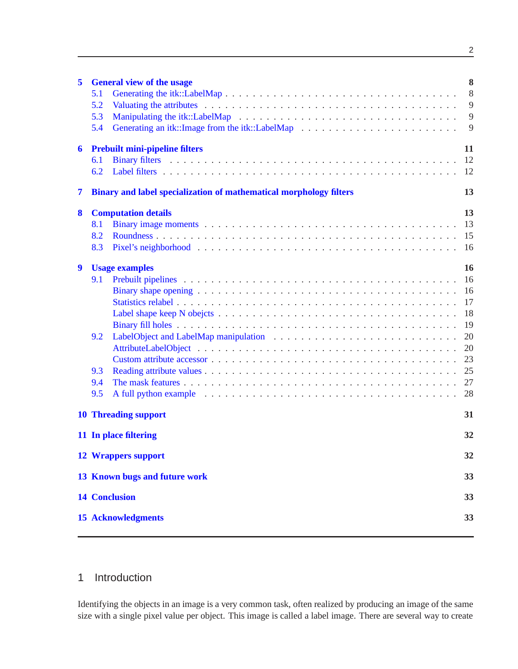| 5 | <b>General view of the usage</b><br>5.1<br>5.2<br>5.3<br>5.4                                                                                                                    | 8<br>8<br>9<br>9<br>9                                                |  |  |  |  |  |
|---|---------------------------------------------------------------------------------------------------------------------------------------------------------------------------------|----------------------------------------------------------------------|--|--|--|--|--|
| 6 | <b>Prebuilt mini-pipeline filters</b><br>6.1<br>6.2                                                                                                                             | 11<br>12<br>12                                                       |  |  |  |  |  |
| 7 | Binary and label specialization of mathematical morphology filters                                                                                                              |                                                                      |  |  |  |  |  |
| 8 | <b>Computation details</b><br>8.1<br>8.2<br>8.3                                                                                                                                 | 13<br>13<br>15<br>16                                                 |  |  |  |  |  |
| 9 | <b>Usage examples</b><br>9.1<br>9.2<br>9.3<br>9.4<br>9.5<br>A full python example example $\cdots \cdots \cdots \cdots \cdots \cdots \cdots \cdots \cdots \cdots \cdots \cdots$ | 16<br>16<br>16<br>17<br>18<br>19<br>20<br>20<br>23<br>25<br>27<br>28 |  |  |  |  |  |
|   | <b>10 Threading support</b>                                                                                                                                                     |                                                                      |  |  |  |  |  |
|   | 11 In place filtering                                                                                                                                                           |                                                                      |  |  |  |  |  |
|   | <b>12 Wrappers support</b>                                                                                                                                                      | 32                                                                   |  |  |  |  |  |
|   | 13 Known bugs and future work                                                                                                                                                   | 33                                                                   |  |  |  |  |  |
|   | <b>14 Conclusion</b><br>33                                                                                                                                                      |                                                                      |  |  |  |  |  |
|   | <b>15 Acknowledgments</b>                                                                                                                                                       | 33                                                                   |  |  |  |  |  |

# <span id="page-1-0"></span>1 Introduction

Identifying the objects in an image is a very common task, often realized by producing an image of the same size with a single pixel value per object. This image is called a label image. There are several way to create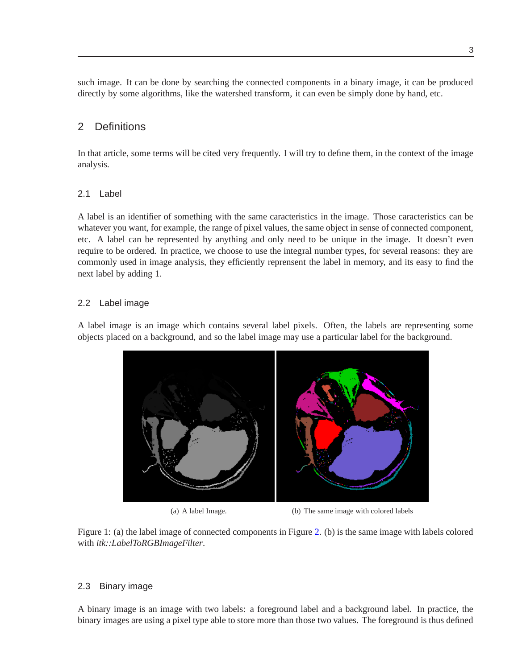such image. It can be done by searching the connected components in a binary image, it can be produced directly by some algorithms, like the watershed transform, it can even be simply done by hand, etc.

# <span id="page-2-0"></span>2 Definitions

In that article, some terms will be cited very frequently. I will try to define them, in the context of the image analysis.

### <span id="page-2-1"></span>2.1 Label

A label is an identifier of something with the same caracteristics in the image. Those caracteristics can be whatever you want, for example, the range of pixel values, the same object in sense of connected component, etc. A label can be represented by anything and only need to be unique in the image. It doesn't even require to be ordered. In practice, we choose to use the integral number types, for several reasons: they are commonly used in image analysis, they efficiently reprensent the label in memory, and its easy to find the next label by adding 1.

### <span id="page-2-2"></span>2.2 Label image

A label image is an image which contains several label pixels. Often, the labels are representing some objects placed on a background, and so the label image may use a particular label for the background.



(a) A label Image. (b) The same image with colored labels

<span id="page-2-4"></span>Figure 1: (a) the label image of connected components in Figure [2.](#page-3-2) (b) is the same image with labels colored with *itk::LabelToRGBImageFilter*.

### <span id="page-2-3"></span>2.3 Binary image

A binary image is an image with two labels: a foreground label and a background label. In practice, the binary images are using a pixel type able to store more than those two values. The foreground is thus defined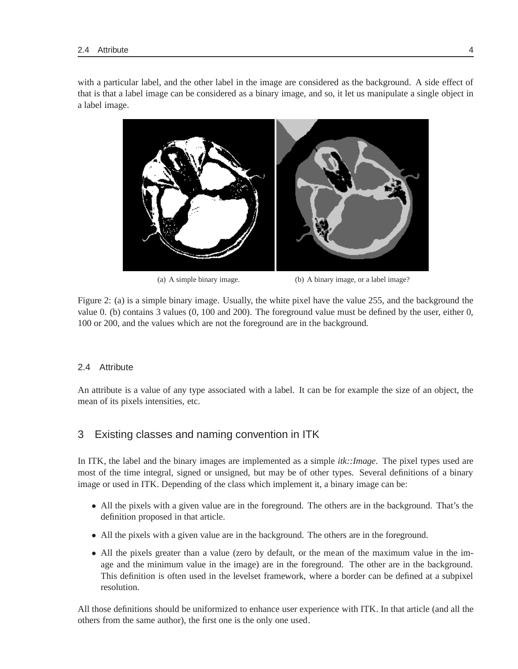with a particular label, and the other label in the image are considered as the background. A side effect of that is that a label image can be considered as a binary image, and so, it let us manipulate a single object in a label image.



(a) A simple binary image. (b) A binary image, or a label image?

<span id="page-3-2"></span>Figure 2: (a) is a simple binary image. Usually, the white pixel have the value 255, and the background the value 0. (b) contains 3 values (0, 100 and 200). The foreground value must be defined by the user, either 0, 100 or 200, and the values which are not the foreground are in the background.

### <span id="page-3-0"></span>2.4 Attribute

An attribute is a value of any type associated with a label. It can be for example the size of an object, the mean of its pixels intensities, etc.

# <span id="page-3-1"></span>3 Existing classes and naming convention in ITK

In ITK, the label and the binary images are implemented as a simple *itk::Image*. The pixel types used are most of the time integral, signed or unsigned, but may be of other types. Several definitions of a binary image or used in ITK. Depending of the class which implement it, a binary image can be:

- All the pixels with a given value are in the foreground. The others are in the background. That's the definition proposed in that article.
- All the pixels with a given value are in the background. The others are in the foreground.
- All the pixels greater than a value (zero by default, or the mean of the maximum value in the image and the minimum value in the image) are in the foreground. The other are in the background. This definition is often used in the levelset framework, where a border can be defined at a subpixel resolution.

All those definitions should be uniformized to enhance user experience with ITK. In that article (and all the others from the same author), the first one is the only one used.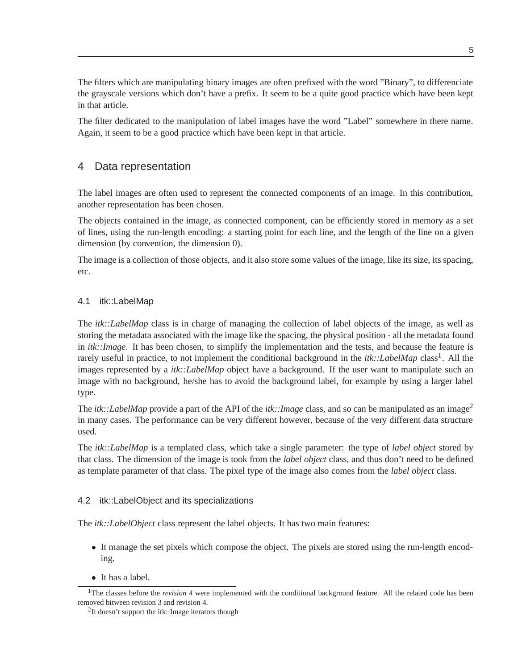The filters which are manipulating binary images are often prefixed with the word "Binary", to differenciate the grayscale versions which don't have a prefix. It seem to be a quite good practice which have been kept in that article.

The filter dedicated to the manipulation of label images have the word "Label" somewhere in there name. Again, it seem to be a good practice which have been kept in that article.

# <span id="page-4-0"></span>4 Data representation

The label images are often used to represent the connected components of an image. In this contribution, another representation has been chosen.

The objects contained in the image, as connected component, can be efficiently stored in memory as a set of lines, using the run-length encoding: a starting point for each line, and the length of the line on a given dimension (by convention, the dimension 0).

The image is a collection of those objects, and it also store some values of the image, like its size, its spacing, etc.

### <span id="page-4-1"></span>4.1 itk::LabelMap

The *itk::LabelMap* class is in charge of managing the collection of label objects of the image, as well as storing the metadata associated with the image like the spacing, the physical position - all the metadata found in *itk::Image*. It has been chosen, to simplify the implementation and the tests, and because the feature is rarely useful in practice, to not implement the conditional background in the *itk*::*LabelMap* class<sup>[1](#page-4-3)</sup>. All the images represented by a *itk::LabelMap* object have a background. If the user want to manipulate such an image with no background, he/she has to avoid the background label, for example by using a larger label type.

The *itk::LabelMap* provide a part of the API of the *itk::Image* class, and so can be manipulated as an image<sup>[2](#page-4-4)</sup> in many cases. The performance can be very different however, because of the very different data structure used.

The *itk::LabelMap* is a templated class, which take a single parameter: the type of *label object* stored by that class. The dimension of the image is took from the *label object* class, and thus don't need to be defined as template parameter of that class. The pixel type of the image also comes from the *label object* class.

### <span id="page-4-2"></span>4.2 itk::LabelObject and its specializations

The *itk::LabelObject* class represent the label objects. It has two main features:

- It manage the set pixels which compose the object. The pixels are stored using the run-length encoding.
- It has a label.

<span id="page-4-4"></span><span id="page-4-3"></span><sup>&</sup>lt;sup>1</sup>The classes before the *revision 4* were implemented with the conditional background feature. All the related code has been removed bitween revision 3 and revision 4.

<sup>&</sup>lt;sup>2</sup>It doesn't support the itk::Image iterators though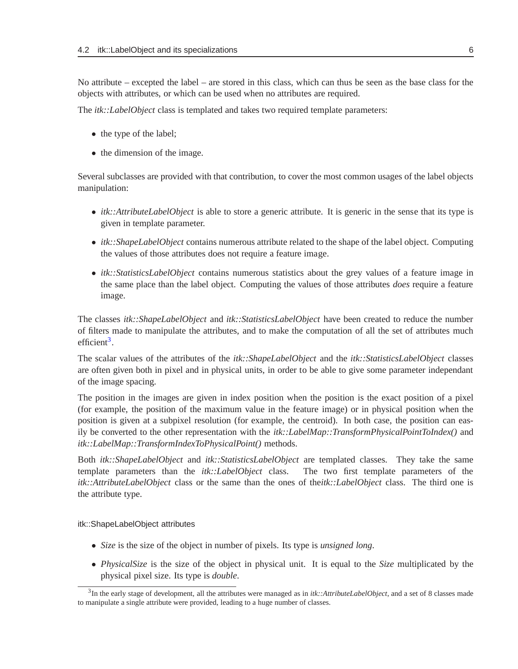No attribute – excepted the label – are stored in this class, which can thus be seen as the base class for the objects with attributes, or which can be used when no attributes are required.

The *itk::LabelObject* class is templated and takes two required template parameters:

- the type of the label;
- the dimension of the image.

Several subclasses are provided with that contribution, to cover the most common usages of the label objects manipulation:

- *itk::AttributeLabelObject* is able to store a generic attribute. It is generic in the sense that its type is given in template parameter.
- *itk::ShapeLabelObject* contains numerous attribute related to the shape of the label object. Computing the values of those attributes does not require a feature image.
- *itk::StatisticsLabelObject* contains numerous statistics about the grey values of a feature image in the same place than the label object. Computing the values of those attributes *does* require a feature image.

The classes *itk::ShapeLabelObject* and *itk::StatisticsLabelObject* have been created to reduce the number of filters made to manipulate the attributes, and to make the computation of all the set of attributes much efficient<sup>[3](#page-5-1)</sup>.

The scalar values of the attributes of the *itk::ShapeLabelObject* and the *itk::StatisticsLabelObject* classes are often given both in pixel and in physical units, in order to be able to give some parameter independant of the image spacing.

The position in the images are given in index position when the position is the exact position of a pixel (for example, the position of the maximum value in the feature image) or in physical position when the position is given at a subpixel resolution (for example, the centroid). In both case, the position can easily be converted to the other representation with the *itk::LabelMap::TransformPhysicalPointToIndex()* and *itk::LabelMap::TransformIndexToPhysicalPoint()* methods.

Both *itk::ShapeLabelObject* and *itk::StatisticsLabelObject* are templated classes. They take the same template parameters than the *itk::LabelObject* class. The two first template parameters of the *itk::AttributeLabelObject* class or the same than the ones of the*itk::LabelObject* class. The third one is the attribute type.

<span id="page-5-0"></span>itk::ShapeLabelObject attributes

- *Size* is the size of the object in number of pixels. Its type is *unsigned long*.
- *PhysicalSize* is the size of the object in physical unit. It is equal to the *Size* multiplicated by the physical pixel size. Its type is *double*.

<span id="page-5-1"></span><sup>3</sup> In the early stage of development, all the attributes were managed as in *itk::AttributeLabelObject*, and a set of 8 classes made to manipulate a single attribute were provided, leading to a huge number of classes.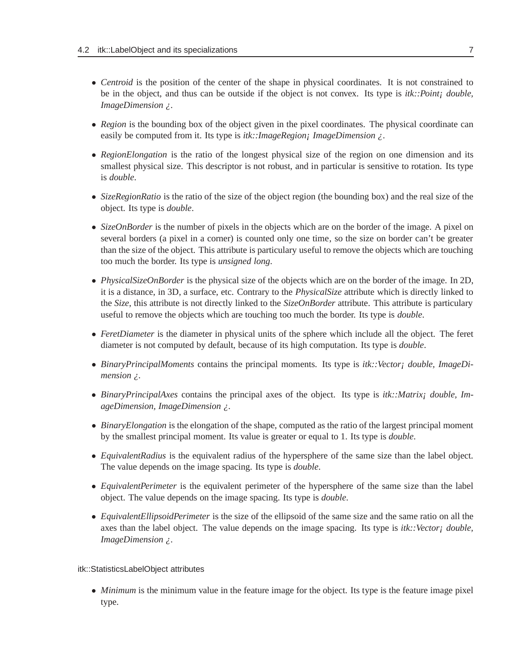- *Centroid* is the position of the center of the shape in physical coordinates. It is not constrained to be in the object, and thus can be outside if the object is not convex. Its type is *itk::Point¡ double, ImageDimension ¿*.
- *Region* is the bounding box of the object given in the pixel coordinates. The physical coordinate can easily be computed from it. Its type is *itk::ImageRegion¡ ImageDimension ¿*.
- *RegionElongation* is the ratio of the longest physical size of the region on one dimension and its smallest physical size. This descriptor is not robust, and in particular is sensitive to rotation. Its type is *double*.
- *SizeRegionRatio* is the ratio of the size of the object region (the bounding box) and the real size of the object. Its type is *double*.
- *SizeOnBorder* is the number of pixels in the objects which are on the border of the image. A pixel on several borders (a pixel in a corner) is counted only one time, so the size on border can't be greater than the size of the object. This attribute is particulary useful to remove the objects which are touching too much the border. Its type is *unsigned long*.
- *PhysicalSizeOnBorder* is the physical size of the objects which are on the border of the image. In 2D, it is a distance, in 3D, a surface, etc. Contrary to the *PhysicalSize* attribute which is directly linked to the *Size*, this attribute is not directly linked to the *SizeOnBorder* attribute. This attribute is particulary useful to remove the objects which are touching too much the border. Its type is *double*.
- *FeretDiameter* is the diameter in physical units of the sphere which include all the object. The feret diameter is not computed by default, because of its high computation. Its type is *double*.
- *BinaryPrincipalMoments* contains the principal moments. Its type is *itk::Vector<sub>j</sub> double, ImageDimension ¿*.
- *BinaryPrincipalAxes* contains the principal axes of the object. Its type is *itk::Matrix¡ double, ImageDimension, ImageDimension ¿*.
- *BinaryElongation* is the elongation of the shape, computed as the ratio of the largest principal moment by the smallest principal moment. Its value is greater or equal to 1. Its type is *double*.
- *EquivalentRadius* is the equivalent radius of the hypersphere of the same size than the label object. The value depends on the image spacing. Its type is *double*.
- *EquivalentPerimeter* is the equivalent perimeter of the hypersphere of the same size than the label object. The value depends on the image spacing. Its type is *double*.
- *EquivalentEllipsoidPerimeter* is the size of the ellipsoid of the same size and the same ratio on all the axes than the label object. The value depends on the image spacing. Its type is *itk::Vector¡ double, ImageDimension ¿*.

### <span id="page-6-0"></span>itk::StatisticsLabelObject attributes

• *Minimum* is the minimum value in the feature image for the object. Its type is the feature image pixel type.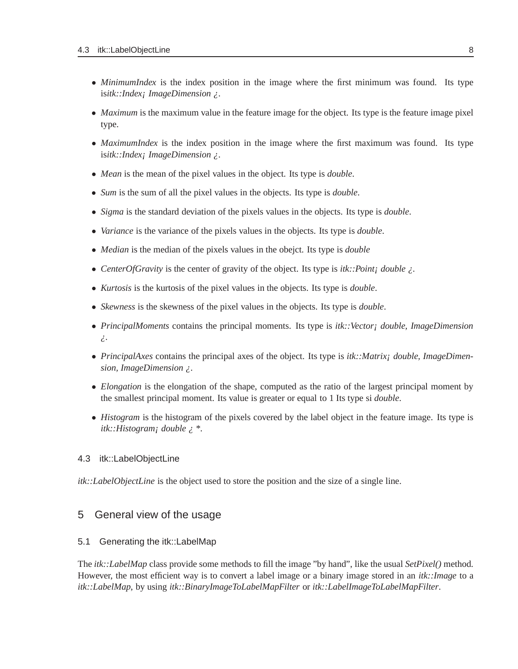- *MinimumIndex* is the index position in the image where the first minimum was found. Its type is*itk::Index¡ ImageDimension ¿*.
- *Maximum* is the maximum value in the feature image for the object. Its type is the feature image pixel type.
- *MaximumIndex* is the index position in the image where the first maximum was found. Its type is*itk::Index¡ ImageDimension ¿*.
- *Mean* is the mean of the pixel values in the object. Its type is *double*.
- *Sum* is the sum of all the pixel values in the objects. Its type is *double*.
- *Sigma* is the standard deviation of the pixels values in the objects. Its type is *double*.
- *Variance* is the variance of the pixels values in the objects. Its type is *double*.
- *Median* is the median of the pixels values in the obejct. Its type is *double*
- *CenterOfGravity* is the center of gravity of the object. Its type is *itk::Point¡ double ¿*.
- *Kurtosis* is the kurtosis of the pixel values in the objects. Its type is *double*.
- *Skewness* is the skewness of the pixel values in the objects. Its type is *double*.
- *PrincipalMoments* contains the principal moments. Its type is *itk::Vector¡ double, ImageDimension ¿*.
- *PrincipalAxes* contains the principal axes of the object. Its type is *itk::Matrix¡ double, ImageDimension, ImageDimension ¿*.
- *Elongation* is the elongation of the shape, computed as the ratio of the largest principal moment by the smallest principal moment. Its value is greater or equal to 1 Its type si *double*.
- *Histogram* is the histogram of the pixels covered by the label object in the feature image. Its type is *itk::Histogram¡ double ¿ \**.

#### <span id="page-7-0"></span>4.3 itk::LabelObjectLine

<span id="page-7-1"></span>*itk::LabelObjectLine* is the object used to store the position and the size of a single line.

### <span id="page-7-2"></span>5 General view of the usage

#### 5.1 Generating the itk::LabelMap

The *itk::LabelMap* class provide some methods to fill the image "by hand", like the usual *SetPixel()* method. However, the most efficient way is to convert a label image or a binary image stored in an *itk::Image* to a *itk::LabelMap*, by using *itk::BinaryImageToLabelMapFilter* or *itk::LabelImageToLabelMapFilter*.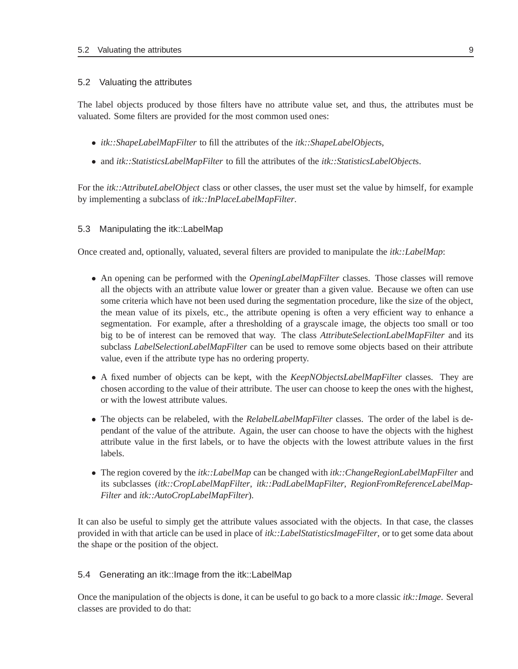#### <span id="page-8-0"></span>5.2 Valuating the attributes

The label objects produced by those filters have no attribute value set, and thus, the attributes must be valuated. Some filters are provided for the most common used ones:

- *itk::ShapeLabelMapFilter* to fill the attributes of the *itk::ShapeLabelObject*s,
- and *itk::StatisticsLabelMapFilter* to fill the attributes of the *itk::StatisticsLabelObject*s.

For the *itk::AttributeLabelObject* class or other classes, the user must set the value by himself, for example by implementing a subclass of *itk::InPlaceLabelMapFilter*.

### <span id="page-8-1"></span>5.3 Manipulating the itk::LabelMap

Once created and, optionally, valuated, several filters are provided to manipulate the *itk::LabelMap*:

- An opening can be performed with the *OpeningLabelMapFilter* classes. Those classes will remove all the objects with an attribute value lower or greater than a given value. Because we often can use some criteria which have not been used during the segmentation procedure, like the size of the object, the mean value of its pixels, etc., the attribute opening is often a very efficient way to enhance a segmentation. For example, after a thresholding of a grayscale image, the objects too small or too big to be of interest can be removed that way. The class *AttributeSelectionLabelMapFilter* and its subclass *LabelSelectionLabelMapFilter* can be used to remove some objects based on their attribute value, even if the attribute type has no ordering property.
- A fixed number of objects can be kept, with the *KeepNObjectsLabelMapFilter* classes. They are chosen according to the value of their attribute. The user can choose to keep the ones with the highest, or with the lowest attribute values.
- The objects can be relabeled, with the *RelabelLabelMapFilter* classes. The order of the label is dependant of the value of the attribute. Again, the user can choose to have the objects with the highest attribute value in the first labels, or to have the objects with the lowest attribute values in the first labels.
- The region covered by the *itk::LabelMap* can be changed with *itk::ChangeRegionLabelMapFilter* and its subclasses (*itk::CropLabelMapFilter*, *itk::PadLabelMapFilter*, *RegionFromReferenceLabelMap-Filter* and *itk::AutoCropLabelMapFilter*).

It can also be useful to simply get the attribute values associated with the objects. In that case, the classes provided in with that article can be used in place of *itk::LabelStatisticsImageFilter*, or to get some data about the shape or the position of the object.

### <span id="page-8-2"></span>5.4 Generating an itk::Image from the itk::LabelMap

Once the manipulation of the objects is done, it can be useful to go back to a more classic *itk::Image*. Several classes are provided to do that: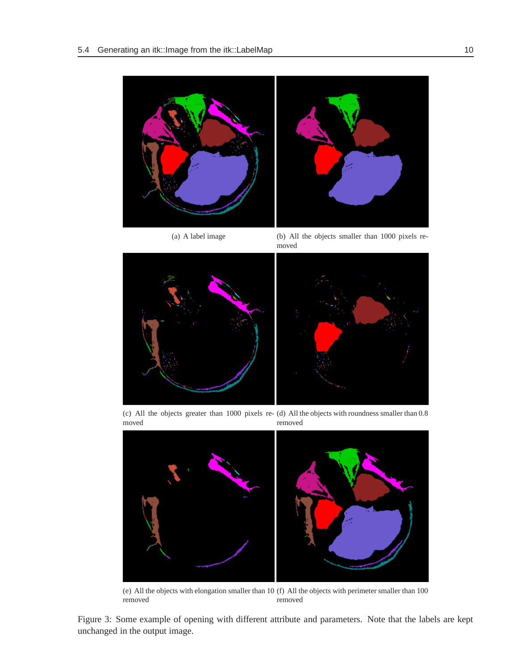



(a) A label image (b) All the objects smaller than 1000 pixels removed



(c) All the objects greater than 1000 pixels re-(d) All the objects with roundness smaller than 0.8 moved removed



(e) All the objects with elongation smaller than 10 (f) All the objects with perimeter smaller than 100 removed removed

Figure 3: Some example of opening with different attribute and parameters. Note that the labels are kept unchanged in the output image.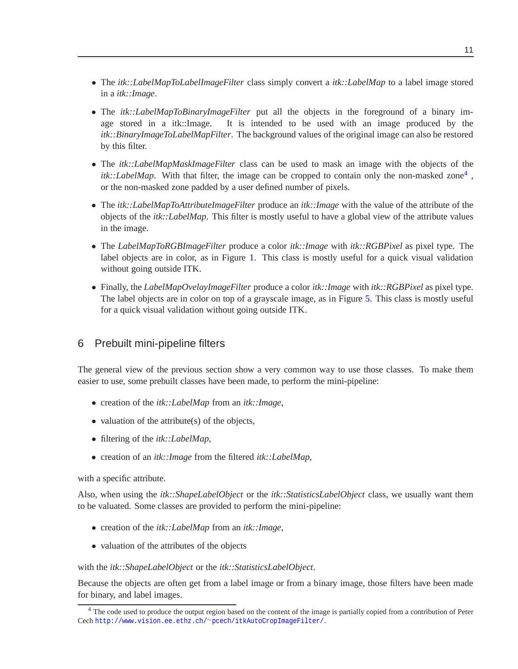- The *itk::LabelMapToLabelImageFilter* class simply convert a *itk::LabelMap* to a label image stored in a *itk::Image*.
- The *itk::LabelMapToBinaryImageFilter* put all the objects in the foreground of a binary im-<br>age stored in a itk::Image. It is intended to be used with an image produced by the It is intended to be used with an image produced by the *itk::BinaryImageToLabelMapFilter*. The background values of the original image can also be restored by this filter.
- The *itk::LabelMapMaskImageFilter* class can be used to mask an image with the objects of the  $itk::LabelMap$ . With that filter, the image can be cropped to contain only the non-masked zone<sup>[4](#page-10-1)</sup>, or the non-masked zone padded by a user defined number of pixels.
- The *itk::LabelMapToAttributeImageFilter* produce an *itk::Image* with the value of the attribute of the objects of the *itk::LabelMap*. This filter is mostly useful to have a global view of the attribute values in the image.
- The *LabelMapToRGBImageFilter* produce a color *itk::Image* with *itk::RGBPixel* as pixel type. The label objects are in color, as in Figure [1.](#page-2-4) This class is mostly useful for a quick visual validation without going outside ITK.
- Finally, the *LabelMapOvelayImageFilter* produce a color *itk::Image* with *itk::RGBPixel* as pixel type. The label objects are in color on top of a grayscale image, as in Figure [5.](#page-29-0) This class is mostly useful for a quick visual validation without going outside ITK.

# <span id="page-10-0"></span>6 Prebuilt mini-pipeline filters

The general view of the previous section show a very common way to use those classes. To make them easier to use, some prebuilt classes have been made, to perform the mini-pipeline:

- creation of the *itk::LabelMap* from an *itk::Image*,
- valuation of the attribute(s) of the objects,
- filtering of the *itk::LabelMap*,
- creation of an *itk::Image* from the filtered *itk::LabelMap*,

with a specific attribute.

Also, when using the *itk::ShapeLabelObject* or the *itk::StatisticsLabelObject* class, we usually want them to be valuated. Some classes are provided to perform the mini-pipeline:

- creation of the *itk::LabelMap* from an *itk::Image*,
- valuation of the attributes of the objects

### with the *itk::ShapeLabelObject* or the *itk::StatisticsLabelObject*.

Because the objects are often get from a label image or from a binary image, those filters have been made for binary, and label images.

<span id="page-10-1"></span><sup>&</sup>lt;sup>4</sup> The code used to produce the output region based on the content of the image is partially copied from a contribution of Peter Cech [http://www.vision.ee.ethz.ch/](http://www.vision.ee.ethz.ch/~pcech/itkAutoCropImageFilter/)∼pcech/itkAutoCropImageFilter/.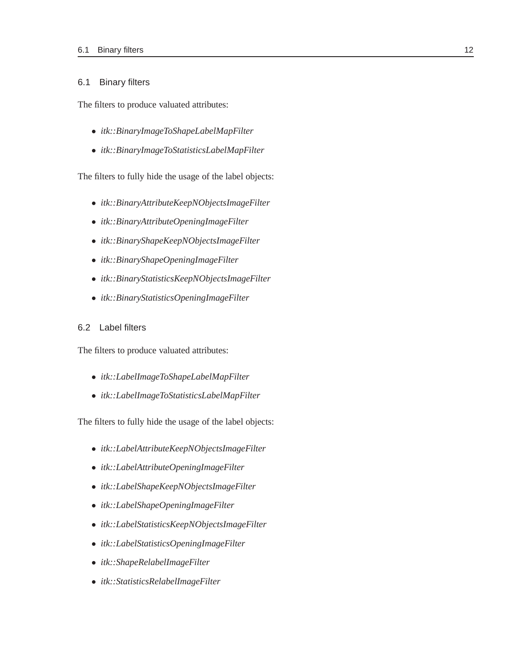#### <span id="page-11-0"></span>6.1 Binary filters

The filters to produce valuated attributes:

- *itk::BinaryImageToShapeLabelMapFilter*
- *itk::BinaryImageToStatisticsLabelMapFilter*

The filters to fully hide the usage of the label objects:

- *itk::BinaryAttributeKeepNObjectsImageFilter*
- *itk::BinaryAttributeOpeningImageFilter*
- *itk::BinaryShapeKeepNObjectsImageFilter*
- *itk::BinaryShapeOpeningImageFilter*
- *itk::BinaryStatisticsKeepNObjectsImageFilter*
- *itk::BinaryStatisticsOpeningImageFilter*

### <span id="page-11-1"></span>6.2 Label filters

The filters to produce valuated attributes:

- *itk::LabelImageToShapeLabelMapFilter*
- *itk::LabelImageToStatisticsLabelMapFilter*

The filters to fully hide the usage of the label objects:

- *itk::LabelAttributeKeepNObjectsImageFilter*
- *itk::LabelAttributeOpeningImageFilter*
- *itk::LabelShapeKeepNObjectsImageFilter*
- *itk::LabelShapeOpeningImageFilter*
- *itk::LabelStatisticsKeepNObjectsImageFilter*
- *itk::LabelStatisticsOpeningImageFilter*
- *itk::ShapeRelabelImageFilter*
- *itk::StatisticsRelabelImageFilter*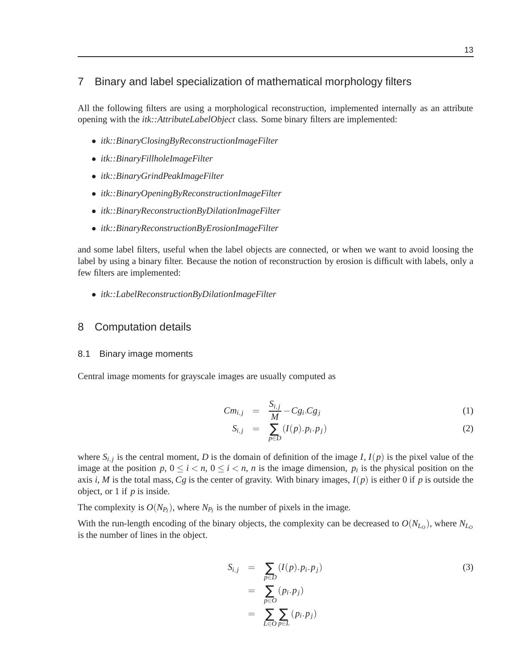### <span id="page-12-0"></span>7 Binary and label specialization of mathematical morphology filters

All the following filters are using a morphological reconstruction, implemented internally as an attribute opening with the *itk::AttributeLabelObject* class. Some binary filters are implemented:

- *itk::BinaryClosingByReconstructionImageFilter*
- *itk::BinaryFillholeImageFilter*
- *itk::BinaryGrindPeakImageFilter*
- *itk::BinaryOpeningByReconstructionImageFilter*
- *itk::BinaryReconstructionByDilationImageFilter*
- *itk::BinaryReconstructionByErosionImageFilter*

and some label filters, useful when the label objects are connected, or when we want to avoid loosing the label by using a binary filter. Because the notion of reconstruction by erosion is difficult with labels, only a few filters are implemented:

• *itk::LabelReconstructionByDilationImageFilter*

### <span id="page-12-2"></span><span id="page-12-1"></span>8 Computation details

#### 8.1 Binary image moments

Central image moments for grayscale images are usually computed as

$$
Cm_{i,j} = \frac{S_{i,j}}{M} - Cg_i.Cg_j \tag{1}
$$

$$
S_{i,j} = \sum_{p \in D} (I(p).p_i.p_j) \tag{2}
$$

where  $S_{i,j}$  is the central moment, *D* is the domain of definition of the image *I*,  $I(p)$  is the pixel value of the image at the position  $p, 0 \le i < n, 0 \le i < n$ , *n* is the image dimension,  $p_i$  is the physical position on the axis *i*, *M* is the total mass, *Cg* is the center of gravity. With binary images,  $I(p)$  is either 0 if *p* is outside the object, or 1 if *p* is inside.

The complexity is  $O(N_{P_I})$ , where  $N_{P_I}$  is the number of pixels in the image.

With the run-length encoding of the binary objects, the complexity can be decreased to  $O(N_{L_0})$ , where  $N_{L_0}$ is the number of lines in the object.

$$
S_{i,j} = \sum_{p \in D} (I(p).p_i.p_j)
$$
  
= 
$$
\sum_{p \in O} (p_i.p_j)
$$
  
= 
$$
\sum_{L \in O} \sum_{p \in L} (p_i.p_j)
$$
 (3)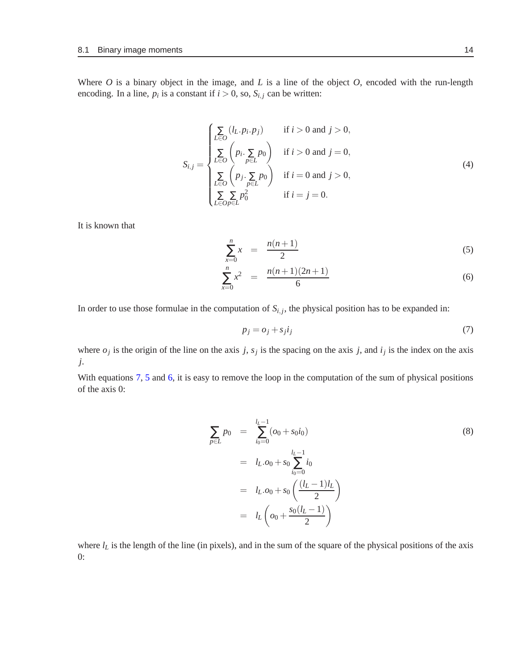Where *O* is a binary object in the image, and *L* is a line of the object *O*, encoded with the run-length encoding. In a line,  $p_i$  is a constant if  $i > 0$ , so,  $S_{i,j}$  can be written:

$$
S_{i,j} = \begin{cases} \sum_{L \in O} (l_L \cdot p_i \cdot p_j) & \text{if } i > 0 \text{ and } j > 0, \\ \sum_{L \in O} \left( p_i \cdot \sum_{p \in L} p_0 \right) & \text{if } i > 0 \text{ and } j = 0, \\ \sum_{L \in O} \left( p_j \cdot \sum_{p \in L} p_0 \right) & \text{if } i = 0 \text{ and } j > 0, \\ \sum_{L \in O} \sum_{p \in L} p_0^2 & \text{if } i = j = 0. \end{cases}
$$
 (4)

It is known that

<span id="page-13-1"></span>
$$
\sum_{x=0}^{n} x = \frac{n(n+1)}{2} \tag{5}
$$

$$
\sum_{x=0}^{n} x^2 = \frac{n(n+1)(2n+1)}{6} \tag{6}
$$

In order to use those formulae in the computation of  $S_{i,j}$ , the physical position has to be expanded in:

<span id="page-13-0"></span>
$$
p_j = o_j + s_j i_j \tag{7}
$$

where  $o_j$  is the origin of the line on the axis *j*,  $s_j$  is the spacing on the axis *j*, and  $i_j$  is the index on the axis *j*.

With equations [7,](#page-13-0) [5](#page-13-1) and [6,](#page-13-1) it is easy to remove the loop in the computation of the sum of physical positions of the axis 0:

$$
\sum_{p \in L} p_0 = \sum_{i_0=0}^{l_L - 1} (o_0 + s_0 i_0)
$$
\n
$$
= l_L \cdot o_0 + s_0 \sum_{i_0=0}^{l_L - 1} i_0
$$
\n
$$
= l_L \cdot o_0 + s_0 \left( \frac{(l_L - 1)l_L}{2} \right)
$$
\n
$$
= l_L \left( o_0 + \frac{s_0(l_L - 1)}{2} \right)
$$
\n(8)

where  $l_L$  is the length of the line (in pixels), and in the sum of the square of the physical positions of the axis 0: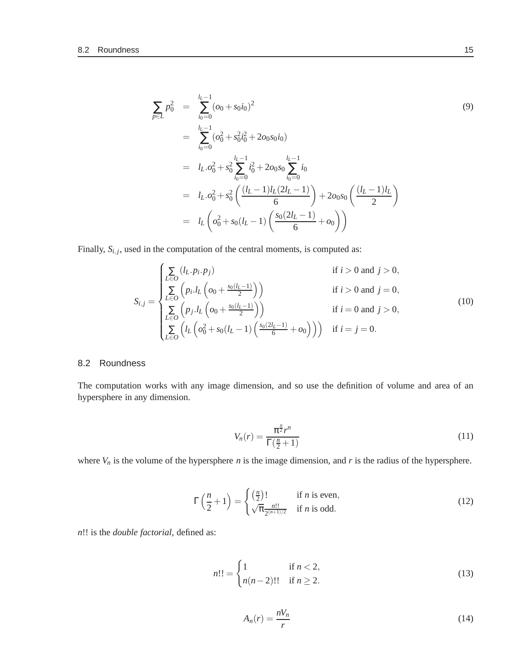$$
\sum_{p \in L} p_0^2 = \sum_{i_0=0}^{l_L - 1} (\omega_0 + s_0 i_0)^2
$$
\n
$$
= \sum_{i_0=0}^{l_L - 1} (\omega_0^2 + s_0^2 i_0^2 + 2 \omega_0 s_0 i_0)
$$
\n
$$
= l_L \omega_0^2 + s_0^2 \sum_{i_0=0}^{l_L - 1} i_0^2 + 2 \omega_0 s_0 \sum_{i_0=0}^{l_L - 1} i_0
$$
\n
$$
= l_L \omega_0^2 + s_0^2 \left( \frac{(l_L - 1)l_L(2l_L - 1)}{6} \right) + 2 \omega_0 s_0 \left( \frac{(l_L - 1)l_L}{2} \right)
$$
\n
$$
= l_L \left( \omega_0^2 + s_0 (l_L - 1) \left( \frac{s_0(2l_L - 1)}{6} + \omega_0 \right) \right)
$$
\n(9)

Finally,  $S_{i,j}$ , used in the computation of the central moments, is computed as:

$$
S_{i,j} = \begin{cases} \sum_{L \in O} (l_L \cdot p_i \cdot p_j) & \text{if } i > 0 \text{ and } j > 0, \\ \sum_{L \in O} \left( p_i \cdot l_L \left( o_0 + \frac{s_0(l_L - 1)}{2} \right) \right) & \text{if } i > 0 \text{ and } j = 0, \\ \sum_{L \in O} \left( p_j \cdot l_L \left( o_0 + \frac{s_0(l_L - 1)}{2} \right) \right) & \text{if } i = 0 \text{ and } j > 0, \\ \sum_{L \in O} \left( l_L \left( o_0^2 + s_0(l_L - 1) \left( \frac{s_0(2l_L - 1)}{6} + o_0 \right) \right) \right) & \text{if } i = j = 0. \end{cases}
$$
(10)

### <span id="page-14-0"></span>8.2 Roundness

The computation works with any image dimension, and so use the definition of volume and area of an hypersphere in any dimension.

<span id="page-14-1"></span>
$$
V_n(r) = \frac{\pi^{\frac{n}{2}}r^n}{\Gamma(\frac{n}{2}+1)}
$$
\n(11)

where  $V_n$  is the volume of the hypersphere *n* is the image dimension, and *r* is the radius of the hypersphere.

$$
\Gamma\left(\frac{n}{2}+1\right) = \begin{cases} \left(\frac{n}{2}\right)! & \text{if } n \text{ is even,} \\ \sqrt{\pi} \frac{n!!}{2^{(n+1)/2}} & \text{if } n \text{ is odd.} \end{cases}
$$
(12)

*n*!! is the *double factorial*, defined as:

$$
n!! = \begin{cases} 1 & \text{if } n < 2, \\ n(n-2)!! & \text{if } n \ge 2. \end{cases}
$$
 (13)

$$
A_n(r) = \frac{nV_n}{r}
$$
 (14)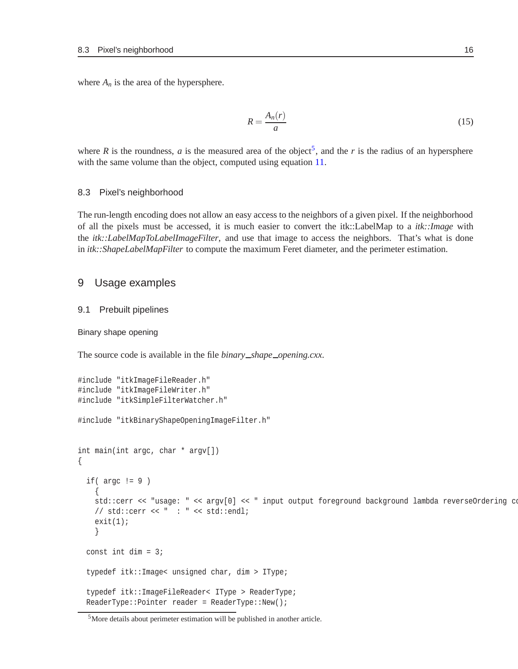where  $A_n$  is the area of the hypersphere.

$$
R = \frac{A_n(r)}{a} \tag{15}
$$

where *R* is the roundness, *a* is the measured area of the object<sup>[5](#page-15-4)</sup>, and the *r* is the radius of an hypersphere with the same volume than the object, computed using equation [11.](#page-14-1)

#### <span id="page-15-0"></span>8.3 Pixel's neighborhood

The run-length encoding does not allow an easy access to the neighbors of a given pixel. If the neighborhood of all the pixels must be accessed, it is much easier to convert the itk::LabelMap to a *itk::Image* with the *itk::LabelMapToLabelImageFilter*, and use that image to access the neighbors. That's what is done in *itk::ShapeLabelMapFilter* to compute the maximum Feret diameter, and the perimeter estimation.

### <span id="page-15-2"></span><span id="page-15-1"></span>9 Usage examples

#### 9.1 Prebuilt pipelines

<span id="page-15-3"></span>Binary shape opening

The source code is available in the file *binary shape opening.cxx*.

```
#include "itkImageFileReader.h"
#include "itkImageFileWriter.h"
#include "itkSimpleFilterWatcher.h"
#include "itkBinaryShapeOpeningImageFilter.h"
int main(int argc, char * argv[])
{
 if(\arg c := 9)
    {
   std::cerr << "usage: " << argv[0] << " input output foreground background lambda reverseOrdering co
   // std::cerr << " : " << std::endl;
   exit(1);}
  const int dim = 3itypedef itk::Image< unsigned char, dim > IType;
  typedef itk::ImageFileReader< IType > ReaderType;
 ReaderType::Pointer reader = ReaderType::New();
```
<span id="page-15-4"></span><sup>5</sup>More details about perimeter estimation will be published in another article.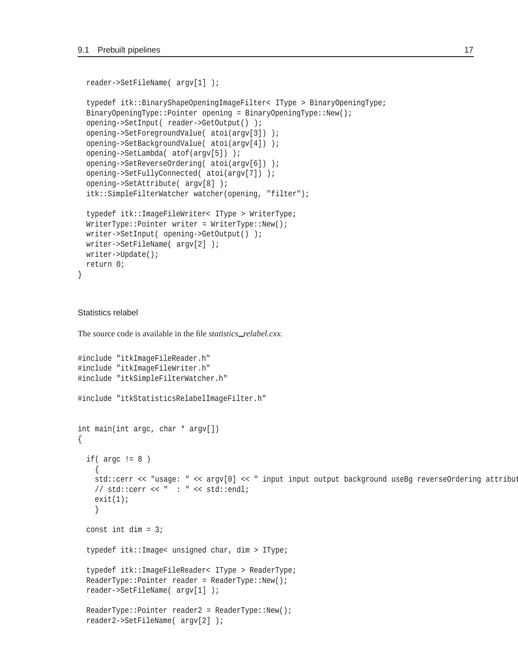```
reader->SetFileName( argv[1] );
typedef itk::BinaryShapeOpeningImageFilter< IType > BinaryOpeningType;
BinaryOpeningType::Pointer opening = BinaryOpeningType::New();
opening->SetInput( reader->GetOutput() );
opening->SetForegroundValue( atoi(argv[3]) );
opening->SetBackgroundValue( atoi(argv[4]) );
opening->SetLambda( atof(argv[5]) );
opening->SetReverseOrdering( atoi(argv[6]) );
opening->SetFullyConnected( atoi(argv[7]) );
opening->SetAttribute( argv[8] );
itk::SimpleFilterWatcher watcher(opening, "filter");
typedef itk::ImageFileWriter< IType > WriterType;
WriterType::Pointer writeer = WriterType::New();
writer->SetInput( opening->GetOutput() );
writer->SetFileName( argv[2] );
writer->Update();
return 0;
```
#### <span id="page-16-0"></span>Statistics relabel

}

The source code is available in the file *statistics relabel.cxx*.

```
#include "itkImageFileReader.h"
#include "itkImageFileWriter.h"
#include "itkSimpleFilterWatcher.h"
#include "itkStatisticsRelabelImageFilter.h"
int main(int argc, char * argv[])
{
  if(\arg c := 8)
    {
   std::cerr << "usage: " << argv[0] << " input input output background useBg reverseOrdering attribut
   // std::cerr << " : " << std::endl;
   exit(1);}
  const int dim = 3;
  typedef itk::Image< unsigned char, dim > IType;
  typedef itk::ImageFileReader< IType > ReaderType;
 ReaderType::Pointer reader = ReaderType::New();
 reader->SetFileName( argv[1] );
 ReaderType::Pointer reader2 = ReaderType::New();
 reader2->SetFileName( argv[2] );
```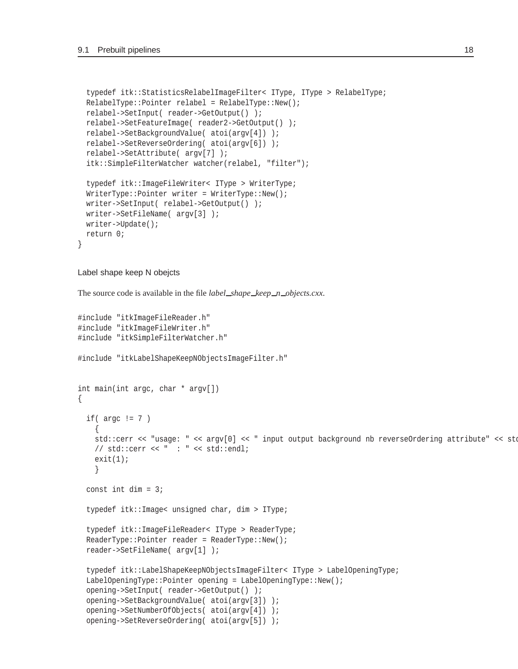```
typedef itk::StatisticsRelabelImageFilter< IType, IType > RelabelType;
RelabelType::Pointer relabel = RelabelType::New();
relabel->SetInput( reader->GetOutput() );
relabel->SetFeatureImage( reader2->GetOutput() );
relabel->SetBackgroundValue( atoi(argv[4]) );
relabel->SetReverseOrdering( atoi(argv[6]) );
relabel->SetAttribute( argv[7] );
itk::SimpleFilterWatcher watcher(relabel, "filter");
typedef itk::ImageFileWriter< IType > WriterType;
WriterType::Pointer writeer = WriterType::New();
writer->SetInput( relabel->GetOutput() );
writer->SetFileName( argv[3] );
writer->Update();
return 0;
```
#### <span id="page-17-0"></span>Label shape keep N obejcts

}

The source code is available in the file *label shape keep n objects.cxx*.

```
#include "itkImageFileReader.h"
#include "itkImageFileWriter.h"
#include "itkSimpleFilterWatcher.h"
#include "itkLabelShapeKeepNObjectsImageFilter.h"
int main(int argc, char * argv[])
{
 if(\arg c != 7 )
    {
   std::cerr << "usage: " << argv[0] << " input output background nb reverseOrdering attribute" << std
   // std::cerr << " : " << std::endl;
    exit(1);}
  const int dim = 3itypedef itk::Image< unsigned char, dim > IType;
  typedef itk::ImageFileReader< IType > ReaderType;
 ReaderType::Pointer reader = ReaderType::New();
 reader->SetFileName( argv[1] );
  typedef itk::LabelShapeKeepNObjectsImageFilter< IType > LabelOpeningType;
 LabelOpeningType::Pointer opening = LabelOpeningType::New();
  opening->SetInput( reader->GetOutput() );
 opening->SetBackgroundValue( atoi(argv[3]) );
  opening->SetNumberOfObjects( atoi(argv[4]) );
  opening->SetReverseOrdering( atoi(argv[5]) );
```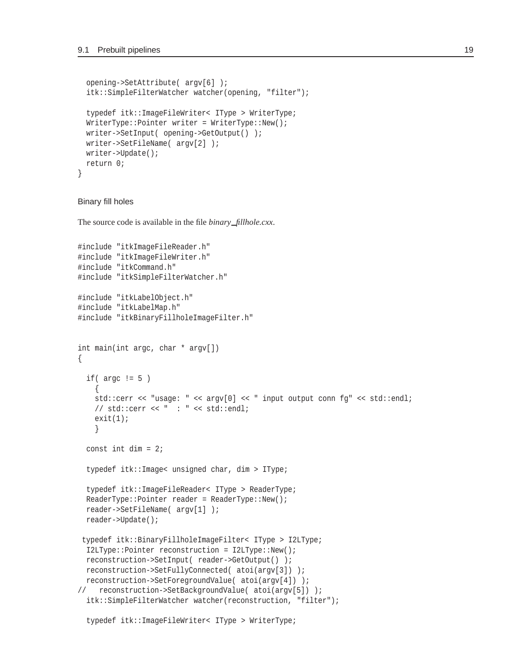```
opening->SetAttribute( argv[6] );
 itk::SimpleFilterWatcher watcher(opening, "filter");
 typedef itk::ImageFileWriter< IType > WriterType;
 WriterType::Pointer writeer = WriteType::New();
 writer->SetInput( opening->GetOutput() );
 writer->SetFileName( argv[2] );
 writer->Update();
 return 0;
}
```
<span id="page-18-0"></span>Binary fill holes

The source code is available in the file *binary fillhole.cxx*.

```
#include "itkImageFileReader.h"
#include "itkImageFileWriter.h"
#include "itkCommand.h"
#include "itkSimpleFilterWatcher.h"
#include "itkLabelObject.h"
#include "itkLabelMap.h"
#include "itkBinaryFillholeImageFilter.h"
int main(int argc, char * argv[])
\left\{ \right.if(\arg c != 5)
    {
   std::cerr << "usage: " << argv[0] << " input output conn fg" << std::endl;
   // std::cerr << " : " << std::endl;
   exit(1);}
 const int dim = 2itypedef itk::Image< unsigned char, dim > IType;
 typedef itk::ImageFileReader< IType > ReaderType;
 ReaderType::Pointer reader = ReaderType::New();
 reader->SetFileName( argv[1] );
 reader->Update();
typedef itk::BinaryFillholeImageFilter< IType > I2LType;
 I2LType::Pointer reconstruction = I2LType::New();
 reconstruction->SetInput( reader->GetOutput() );
 reconstruction->SetFullyConnected( atoi(argv[3]) );
 reconstruction->SetForegroundValue( atoi(argv[4]) );
// reconstruction->SetBackgroundValue( atoi(argv[5]) );
 itk::SimpleFilterWatcher watcher(reconstruction, "filter");
```
typedef itk::ImageFileWriter< IType > WriterType;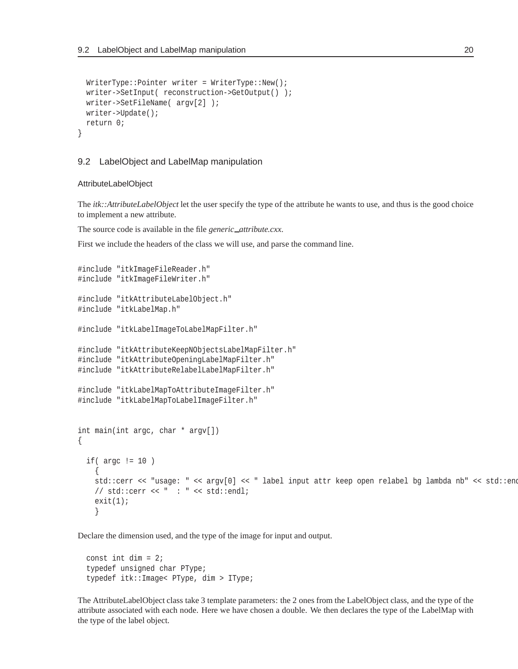```
WriterType::Pointer writer = WriterType::New();
 writer->SetInput( reconstruction->GetOutput() );
 writer->SetFileName( argv[2] );
 writer->Update();
 return 0;
}
```
#### <span id="page-19-0"></span>9.2 LabelObject and LabelMap manipulation

#### <span id="page-19-1"></span>AttributeLabelObject

The *itk::AttributeLabelObject* let the user specify the type of the attribute he wants to use, and thus is the good choice to implement a new attribute.

The source code is available in the file *generic\_attribute.cxx*.

First we include the headers of the class we will use, and parse the command line.

```
#include "itkImageFileReader.h"
#include "itkImageFileWriter.h"
#include "itkAttributeLabelObject.h"
#include "itkLabelMap.h"
#include "itkLabelImageToLabelMapFilter.h"
#include "itkAttributeKeepNObjectsLabelMapFilter.h"
#include "itkAttributeOpeningLabelMapFilter.h"
#include "itkAttributeRelabelLabelMapFilter.h"
#include "itkLabelMapToAttributeImageFilter.h"
#include "itkLabelMapToLabelImageFilter.h"
int main(int argc, char * argv[])
\{if( argc != 10 )
    {
   std::cerr << "usage: " << argv[0] << " label input attr keep open relabel bg lambda nb" << std::endl;
   //std::cerr << " : " << std::end1;exit(1);}
```
Declare the dimension used, and the type of the image for input and output.

```
const int dim = 2itypedef unsigned char PType;
typedef itk::Image< PType, dim > IType;
```
The AttributeLabelObject class take 3 template parameters: the 2 ones from the LabelObject class, and the type of the attribute associated with each node. Here we have chosen a double. We then declares the type of the LabelMap with the type of the label object.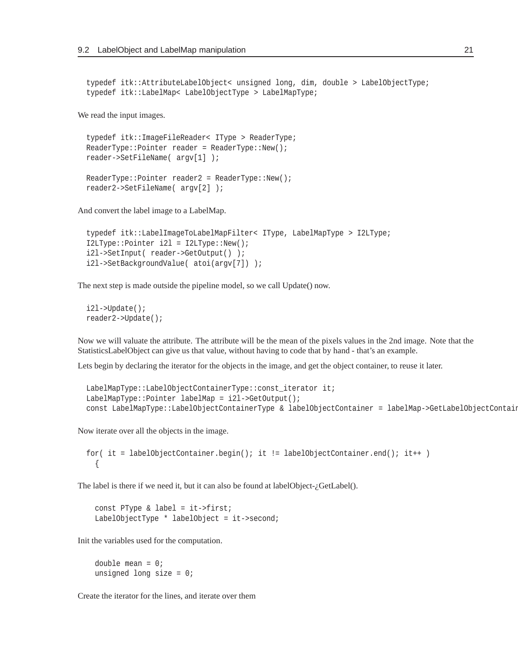```
typedef itk::AttributeLabelObject< unsigned long, dim, double > LabelObjectType;
typedef itk::LabelMap< LabelObjectType > LabelMapType;
```
We read the input images.

```
typedef itk::ImageFileReader< IType > ReaderType;
ReaderType::Pointer reader = ReaderType::New();
reader->SetFileName( argv[1] );
ReaderType::Pointer reader2 = ReaderType::New();
reader2->SetFileName( argv[2] );
```
And convert the label image to a LabelMap.

```
typedef itk::LabelImageToLabelMapFilter< IType, LabelMapType > I2LType;
I2LType::Pointer i2l = I2LType::New();
i2l->SetInput( reader->GetOutput() );
i2l->SetBackgroundValue( atoi(argv[7]) );
```
The next step is made outside the pipeline model, so we call Update() now.

```
i2l->Update();
reader2->Update();
```
Now we will valuate the attribute. The attribute will be the mean of the pixels values in the 2nd image. Note that the StatisticsLabelObject can give us that value, without having to code that by hand - that's an example.

Lets begin by declaring the iterator for the objects in the image, and get the object container, to reuse it later.

```
LabelMapType::LabelObjectContainerType::const_iterator it;
LabelMapType::Pointer labelMap = i2l->GetOutput();
const LabelMapType::LabelObjectContainerType & labelObjectContainer = labelMap->GetLabelObjectContaine
```
Now iterate over all the objects in the image.

```
for( it = labelObjectContainer.begin(); it != labelObjectContainer.end(); it++ )
  {
```
The label is there if we need it, but it can also be found at labelObject- $i$ GetLabel().

const PType & label = it->first; LabelObjectType \* labelObject = it->second;

Init the variables used for the computation.

double mean  $= 0$ ; unsigned long size =  $0$ ;

Create the iterator for the lines, and iterate over them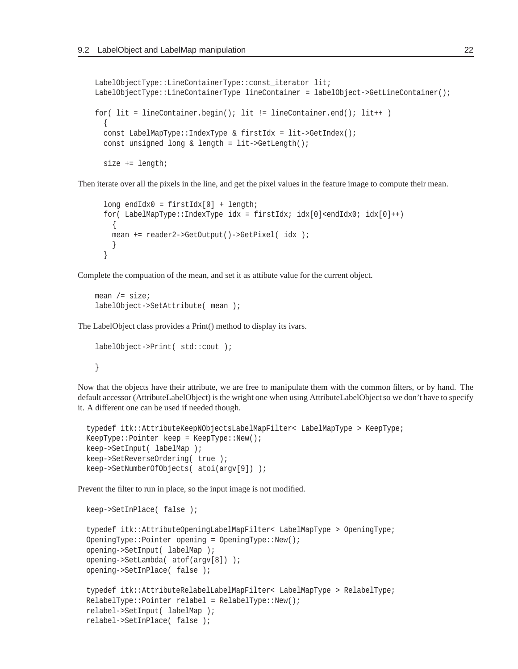```
LabelObjectType::LineContainerType::const_iterator lit;
LabelObjectType::LineContainerType lineContainer = labelObject->GetLineContainer();
for( lit = lineContainer<math>, begin(); lit := lineContainer) end(); lit++){
 const LabelMapType::IndexType & firstIdx = lit->GetIndex();
 const unsigned long & length = lit->GetLength();
 size += length;
```
Then iterate over all the pixels in the line, and get the pixel values in the feature image to compute their mean.

```
long endIdx0 = firstIdx[0] + length;
for( LabelMapType::IndexType idx = firstIdx; idx[0]<sub>endIdx</sub>(i) dxd[0]++){
 mean += reader2->GetOutput()->GetPixel( idx );
  }
}
```
Complete the compuation of the mean, and set it as attibute value for the current object.

```
mean /= size;
labelObject->SetAttribute( mean );
```
The LabelObject class provides a Print() method to display its ivars.

```
labelObject->Print( std::cout );
}
```
Now that the objects have their attribute, we are free to manipulate them with the common filters, or by hand. The default accessor (AttributeLabelObject) is the wright one when using AttributeLabelObject so we don't have to specify it. A different one can be used if needed though.

```
typedef itk::AttributeKeepNObjectsLabelMapFilter< LabelMapType > KeepType;
KeepType::Pointer keep = KeepType::New();
keep->SetInput( labelMap );
keep->SetReverseOrdering( true );
keep->SetNumberOfObjects( atoi(argv[9]) );
```
Prevent the filter to run in place, so the input image is not modified.

```
keep->SetInPlace( false );
typedef itk::AttributeOpeningLabelMapFilter< LabelMapType > OpeningType;
OpeningType::Pointer opening = OpeningType::New();
opening->SetInput( labelMap );
opening->SetLambda( atof(argv[8]) );
opening->SetInPlace( false );
typedef itk::AttributeRelabelLabelMapFilter< LabelMapType > RelabelType;
RelabelType::Pointer relabel = RelabelType::New();
relabel->SetInput( labelMap );
relabel->SetInPlace( false );
```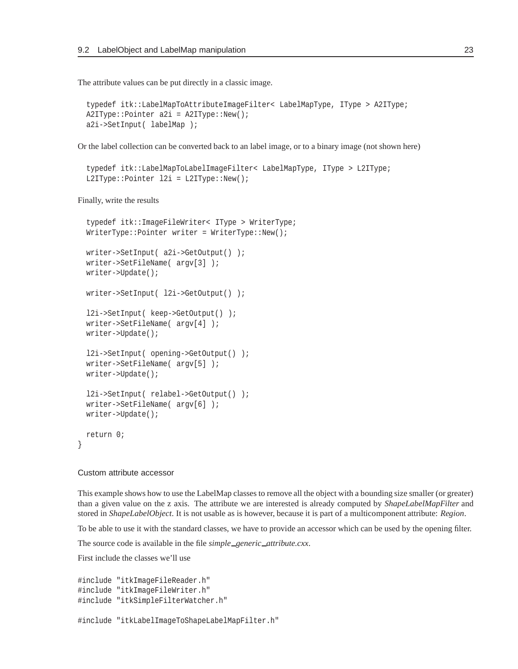The attribute values can be put directly in a classic image.

```
typedef itk::LabelMapToAttributeImageFilter< LabelMapType, IType > A2IType;
A2IType::Pointer a2i = A2IType::New();
a2i->SetInput( labelMap );
```
Or the label collection can be converted back to an label image, or to a binary image (not shown here)

```
typedef itk::LabelMapToLabelImageFilter< LabelMapType, IType > L2IType;
L2IType::Pointer 12i = L2IType::New();
```
Finally, write the results

```
typedef itk::ImageFileWriter< IType > WriterType;
WriterType::Pointer writer = WriterType::New();
writer->SetInput( a2i->GetOutput() );
writer->SetFileName( argv[3] );
writer->Update();
writer->SetInput( l2i->GetOutput() );
l2i->SetInput( keep->GetOutput() );
writer->SetFileName( argv[4] );
writer->Update();
l2i->SetInput( opening->GetOutput() );
writer->SetFileName( argv[5] );
writer->Update();
l2i->SetInput( relabel->GetOutput() );
writer->SetFileName( argv[6] );
writer->Update();
return 0;
```
#### <span id="page-22-0"></span>Custom attribute accessor

}

This example shows how to use the LabelMap classes to remove all the object with a bounding size smaller (or greater) than a given value on the z axis. The attribute we are interested is already computed by *ShapeLabelMapFilter* and stored in *ShapeLabelObject*. It is not usable as is however, because it is part of a multicomponent attribute: *Region*.

To be able to use it with the standard classes, we have to provide an accessor which can be used by the opening filter.

The source code is available in the file *simple\_generic\_attribute.cxx*.

First include the classes we'll use

```
#include "itkImageFileReader.h"
#include "itkImageFileWriter.h"
#include "itkSimpleFilterWatcher.h"
```
#include "itkLabelImageToShapeLabelMapFilter.h"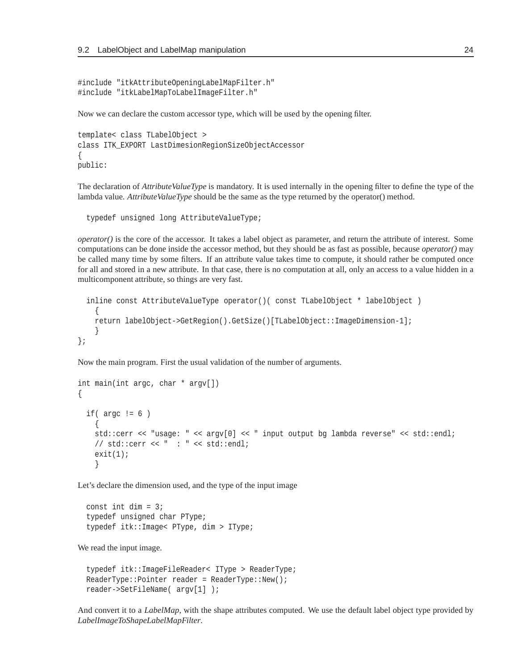```
#include "itkAttributeOpeningLabelMapFilter.h"
#include "itkLabelMapToLabelImageFilter.h"
```
Now we can declare the custom accessor type, which will be used by the opening filter.

```
template< class TLabelObject >
class ITK_EXPORT LastDimesionRegionSizeObjectAccessor
{
public:
```
The declaration of *AttributeValueType* is mandatory. It is used internally in the opening filter to define the type of the lambda value. *AttributeValueType* should be the same as the type returned by the operator() method.

typedef unsigned long AttributeValueType;

*operator()* is the core of the accessor. It takes a label object as parameter, and return the attribute of interest. Some computations can be done inside the accessor method, but they should be as fast as possible, because *operator()* may be called many time by some filters. If an attribute value takes time to compute, it should rather be computed once for all and stored in a new attribute. In that case, there is no computation at all, only an access to a value hidden in a multicomponent attribute, so things are very fast.

```
inline const AttributeValueType operator()( const TLabelObject * labelObject )
    \{return labelObject->GetRegion().GetSize()[TLabelObject::ImageDimension-1];
    }
};
```
Now the main program. First the usual validation of the number of arguments.

```
int main(int argc, char * argv[])
\left\{ \right.if(\arg c := 6)
    {
    std::cerr << "usage: " << argv[0] << " input output bg lambda reverse" << std::endl;
    //std::cerr << " : " << std::endi;exit(1);}
```
Let's declare the dimension used, and the type of the input image

const int dim  $= 3$ ; typedef unsigned char PType; typedef itk::Image< PType, dim > IType;

We read the input image.

```
typedef itk::ImageFileReader< IType > ReaderType;
ReaderType::Pointer reader = ReaderType::New();
reader->SetFileName( argv[1] );
```
And convert it to a *LabelMap*, with the shape attributes computed. We use the default label object type provided by *LabelImageToShapeLabelMapFilter*.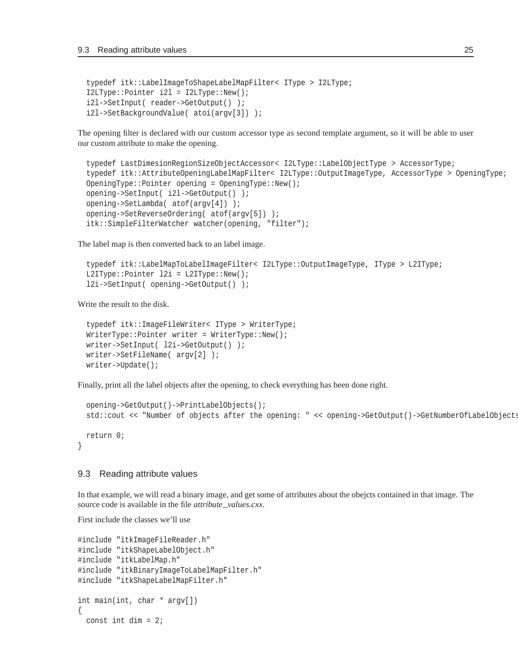```
typedef itk::LabelImageToShapeLabelMapFilter< IType > I2LType;
I2LType::Pointer i2l = I2LType::New();
i2l->SetInput( reader->GetOutput() );
i2l->SetBackgroundValue( atoi(argv[3]) );
```
The opening filter is declared with our custom accessor type as second template argument, so it will be able to user our custom attribute to make the opening.

```
typedef LastDimesionRegionSizeObjectAccessor< I2LType::LabelObjectType > AccessorType;
typedef itk::AttributeOpeningLabelMapFilter< I2LType::OutputImageType, AccessorType > OpeningType;
OpeningType::Pointer opening = OpeningType::New();
opening->SetInput( i2l->GetOutput() );
opening->SetLambda( atof(argv[4]) );
opening->SetReverseOrdering( atof(argv[5]) );
itk::SimpleFilterWatcher watcher(opening, "filter");
```
The label map is then converted back to an label image.

```
typedef itk::LabelMapToLabelImageFilter< I2LType::OutputImageType, IType > L2IType;
L2IType::Pointer l2i = L2IType::New();
l2i->SetInput( opening->GetOutput() );
```
Write the result to the disk.

```
typedef itk::ImageFileWriter< IType > WriterType;
WriterType::Pointer writer = WriterType::New();
writer->SetInput( l2i->GetOutput() );
writer->SetFileName( argv[2] );
writer->Update();
```
Finally, print all the label objects after the opening, to check everything has been done right.

```
opening->GetOutput()->PrintLabelObjects();
std::cout << "Number of objects after the opening: " << opening->GetOutput()->GetNumberOfLabelObjects(
return 0;
```
#### 9.3 Reading attribute values

<span id="page-24-0"></span>}

In that example, we will read a binary image, and get some of attributes about the obejcts contained in that image. The source code is available in the file *attribute\_values.cxx*.

First include the classes we'll use

```
#include "itkImageFileReader.h"
#include "itkShapeLabelObject.h"
#include "itkLabelMap.h"
#include "itkBinaryImageToLabelMapFilter.h"
#include "itkShapeLabelMapFilter.h"
int main(int, char * argv[])
{
 const int dim = 2i
```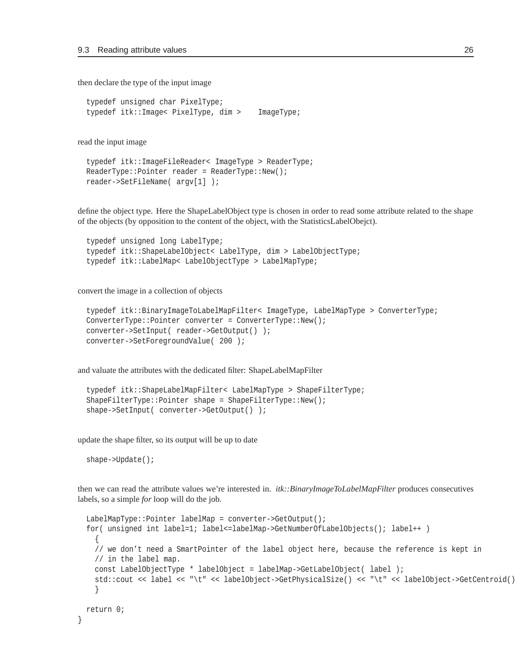then declare the type of the input image

typedef unsigned char PixelType; typedef itk::Image< PixelType, dim > ImageType;

read the input image

```
typedef itk::ImageFileReader< ImageType > ReaderType;
ReaderType::Pointer reader = ReaderType::New();
reader->SetFileName( argv[1] );
```
define the object type. Here the ShapeLabelObject type is chosen in order to read some attribute related to the shape of the objects (by opposition to the content of the object, with the StatisticsLabelObejct).

```
typedef unsigned long LabelType;
typedef itk::ShapeLabelObject< LabelType, dim > LabelObjectType;
typedef itk::LabelMap< LabelObjectType > LabelMapType;
```
convert the image in a collection of objects

```
typedef itk::BinaryImageToLabelMapFilter< ImageType, LabelMapType > ConverterType;
ConverterType::Pointer converter = ConverterType::New();
converter->SetInput( reader->GetOutput() );
converter->SetForegroundValue( 200 );
```
and valuate the attributes with the dedicated filter: ShapeLabelMapFilter

```
typedef itk::ShapeLabelMapFilter< LabelMapType > ShapeFilterType;
ShapeFilterType::Pointer shape = ShapeFilterType::New();
shape->SetInput( converter->GetOutput() );
```
update the shape filter, so its output will be up to date

shape->Update();

}

then we can read the attribute values we're interested in. *itk::BinaryImageToLabelMapFilter* produces consecutives labels, so a simple *for* loop will do the job.

```
LabelMapType::Pointer labelMap = converter->GetOutput();
for( unsigned int label=1; label<=labelMap->GetNumberOfLabelObjects(); label++ )
  {
  // we don't need a SmartPointer of the label object here, because the reference is kept in
 // in the label map.
 const LabelObjectType * labelObject = labelMap->GetLabelObject( label );
 std::cout << label << "\t" << labelObject->GetPhysicalSize() << "\t" << labelObject->GetCentroid()
  }
return 0;
```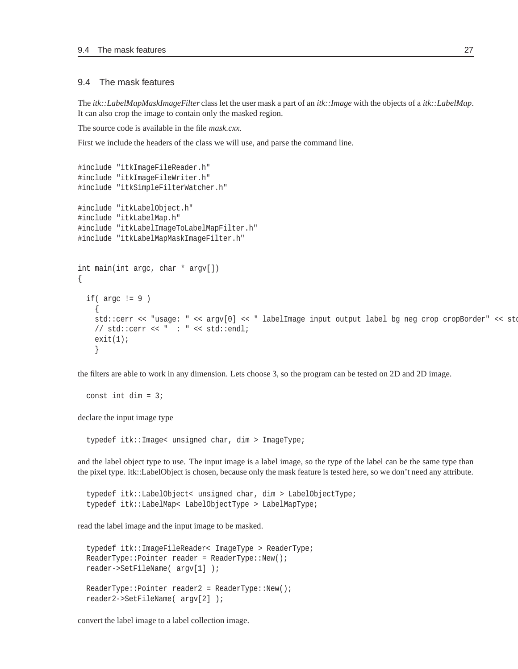#### <span id="page-26-0"></span>9.4 The mask features

The *itk::LabelMapMaskImageFilter* class let the user mask a part of an *itk::Image* with the objects of a *itk::LabelMap*. It can also crop the image to contain only the masked region.

The source code is available in the file *mask.cxx*.

First we include the headers of the class we will use, and parse the command line.

```
#include "itkImageFileReader.h"
#include "itkImageFileWriter.h"
#include "itkSimpleFilterWatcher.h"
#include "itkLabelObject.h"
#include "itkLabelMap.h"
#include "itkLabelImageToLabelMapFilter.h"
#include "itkLabelMapMaskImageFilter.h"
int main(int argc, char * argv[])
{
 if(\arg c := 9)
    {
   std::cerr << "usage: " << argv[0] << " labelImage input output label bg neg crop cropBorder" << std
   // std::cerr << " : " << std::endl;
   exit(1);}
```
the filters are able to work in any dimension. Lets choose 3, so the program can be tested on 2D and 2D image.

```
const int dim = 3;
```
declare the input image type

typedef itk::Image< unsigned char, dim > ImageType;

and the label object type to use. The input image is a label image, so the type of the label can be the same type than the pixel type. itk::LabelObject is chosen, because only the mask feature is tested here, so we don't need any attribute.

```
typedef itk::LabelObject< unsigned char, dim > LabelObjectType;
typedef itk::LabelMap< LabelObjectType > LabelMapType;
```
read the label image and the input image to be masked.

```
typedef itk::ImageFileReader< ImageType > ReaderType;
ReaderType::Pointer reader = ReaderType::New();
reader->SetFileName( argv[1] );
ReaderType::Pointer reader2 = ReaderType::New();
reader2->SetFileName( argv[2] );
```
convert the label image to a label collection image.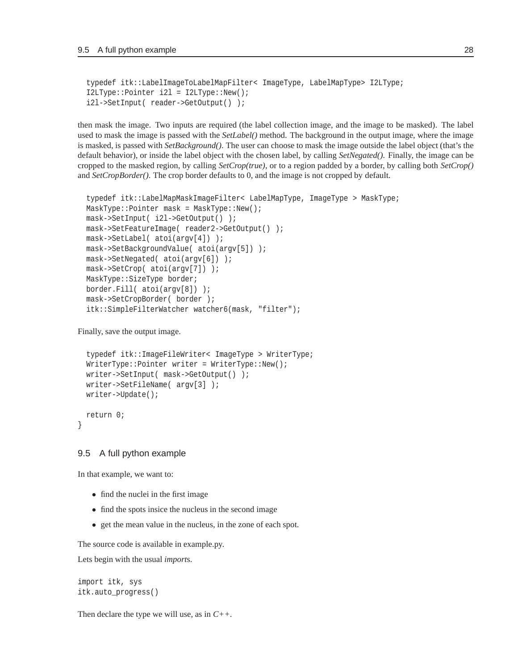```
typedef itk::LabelImageToLabelMapFilter< ImageType, LabelMapType> I2LType;
I2LType::Pointer i2l = I2LType::New();
i2l->SetInput( reader->GetOutput() );
```
then mask the image. Two inputs are required (the label collection image, and the image to be masked). The label used to mask the image is passed with the *SetLabel()* method. The background in the output image, where the image is masked, is passed with *SetBackground()*. The user can choose to mask the image outside the label object (that's the default behavior), or inside the label object with the chosen label, by calling *SetNegated()*. Finally, the image can be cropped to the masked region, by calling *SetCrop(true)*, or to a region padded by a border, by calling both *SetCrop()* and *SetCropBorder()*. The crop border defaults to 0, and the image is not cropped by default.

```
typedef itk::LabelMapMaskImageFilter< LabelMapType, ImageType > MaskType;
MaskType::Pointer mask = MaskType::New();
mask->SetInput( i2l->GetOutput() );
mask->SetFeatureImage( reader2->GetOutput() );
mask->SetLabel( atoi(argv[4]) );
mask->SetBackgroundValue( atoi(argv[5]) );
mask->SetNegated( atoi(argv[6]) );
mask->SetCrop( atoi(argv[7]) );
MaskType::SizeType border;
border.Fill( atoi(argv[8]) );
mask->SetCropBorder( border );
itk::SimpleFilterWatcher watcher6(mask, "filter");
```
Finally, save the output image.

```
typedef itk::ImageFileWriter< ImageType > WriterType;
WriterType::Pointer writeer = WriterType::New();
writer->SetInput( mask->GetOutput() );
writer->SetFileName( argv[3] );
writer->Update();
return 0;
```
#### <span id="page-27-0"></span>9.5 A full python example

In that example, we want to:

}

- find the nuclei in the first image
- find the spots insice the nucleus in the second image
- get the mean value in the nucleus, in the zone of each spot.

The source code is available in example.py.

Lets begin with the usual *import*s.

```
import itk, sys
itk.auto_progress()
```
Then declare the type we will use, as in *C++*.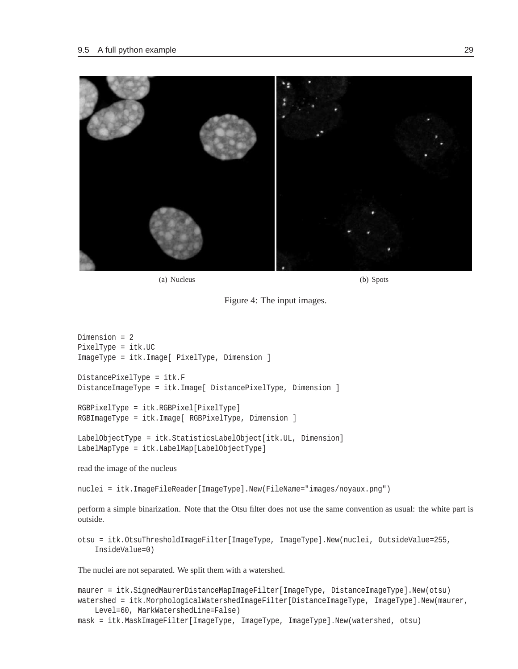

Figure 4: The input images.

```
Dimension = 2
PixelType = itk.UC
ImageType = itk.Image[ PixelType, Dimension ]
DistancePixelType = itk.F
DistanceImageType = itk.Image[ DistancePixelType, Dimension ]
RGBPixelType = itk.RGBPixel[PixelType]
RGBImageType = itk.Image[ RGBPixelType, Dimension ]
LabelObjectType = itk.StatisticsLabelObject[itk.UL, Dimension]
```
read the image of the nucleus

nuclei = itk.ImageFileReader[ImageType].New(FileName="images/noyaux.png")

perform a simple binarization. Note that the Otsu filter does not use the same convention as usual: the white part is outside.

otsu = itk.OtsuThresholdImageFilter[ImageType, ImageType].New(nuclei, OutsideValue=255, InsideValue=0)

The nuclei are not separated. We split them with a watershed.

LabelMapType = itk.LabelMap[LabelObjectType]

```
maurer = itk.SignedMaurerDistanceMapImageFilter[ImageType, DistanceImageType].New(otsu)
watershed = itk.MorphologicalWatershedImageFilter[DistanceImageType, ImageType].New(maurer,
    Level=60, MarkWatershedLine=False)
mask = itk.MaskImageFilter[ImageType, ImageType, ImageType].New(watershed, otsu)
```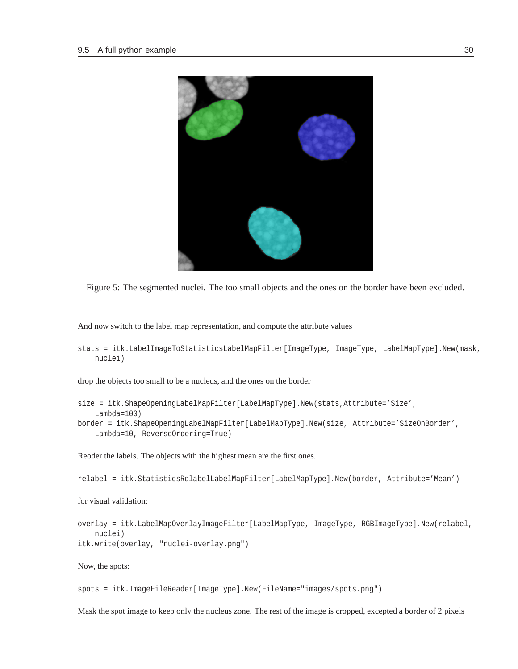

Figure 5: The segmented nuclei. The too small objects and the ones on the border have been excluded.

<span id="page-29-0"></span>And now switch to the label map representation, and compute the attribute values

```
stats = itk.LabelImageToStatisticsLabelMapFilter[ImageType, ImageType, LabelMapType].New(mask,
   nuclei)
```
drop the objects too small to be a nucleus, and the ones on the border

```
size = itk.ShapeOpeningLabelMapFilter[LabelMapType].New(stats,Attribute='Size',
   Lambda=100)
```
border = itk.ShapeOpeningLabelMapFilter[LabelMapType].New(size, Attribute='SizeOnBorder', Lambda=10, ReverseOrdering=True)

Reoder the labels. The objects with the highest mean are the first ones.

relabel = itk.StatisticsRelabelLabelMapFilter[LabelMapType].New(border, Attribute='Mean')

for visual validation:

```
overlay = itk.LabelMapOverlayImageFilter[LabelMapType, ImageType, RGBImageType].New(relabel,
   nuclei)
itk.write(overlay, "nuclei-overlay.png")
```
Now, the spots:

spots = itk.ImageFileReader[ImageType].New(FileName="images/spots.png")

Mask the spot image to keep only the nucleus zone. The rest of the image is cropped, excepted a border of 2 pixels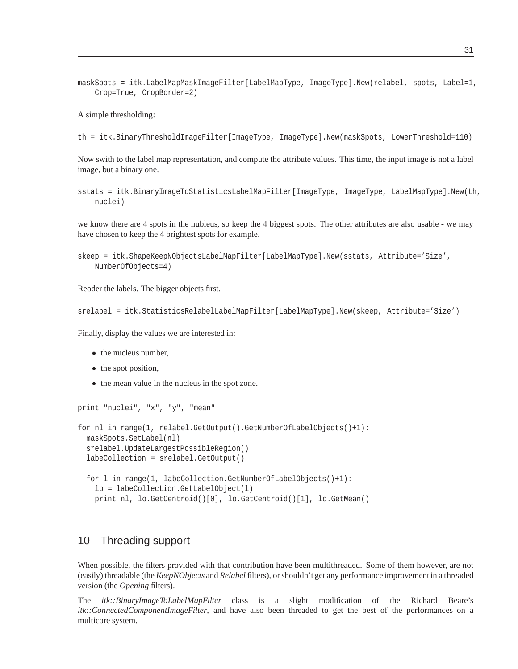maskSpots = itk.LabelMapMaskImageFilter[LabelMapType, ImageType].New(relabel, spots, Label=1, Crop=True, CropBorder=2)

A simple thresholding:

th = itk.BinaryThresholdImageFilter[ImageType, ImageType].New(maskSpots, LowerThreshold=110)

Now swith to the label map representation, and compute the attribute values. This time, the input image is not a label image, but a binary one.

```
sstats = itk.BinaryImageToStatisticsLabelMapFilter[ImageType, ImageType, LabelMapType].New(th,
   nuclei)
```
we know there are 4 spots in the nubleus, so keep the 4 biggest spots. The other attributes are also usable - we may have chosen to keep the 4 brightest spots for example.

```
skeep = itk.ShapeKeepNObjectsLabelMapFilter[LabelMapType].New(sstats, Attribute='Size',
   NumberOfObjects=4)
```
Reoder the labels. The bigger objects first.

```
srelabel = itk.StatisticsRelabelLabelMapFilter[LabelMapType].New(skeep, Attribute='Size')
```
Finally, display the values we are interested in:

- the nucleus number,
- the spot position,
- the mean value in the nucleus in the spot zone.

```
print "nuclei", "x", "y", "mean"
for nl in range(1, relabel.GetOutput().GetNumberOfLabelObjects()+1):
  maskSpots.SetLabel(nl)
  srelabel.UpdateLargestPossibleRegion()
  labeCollection = srelabel.GetOutput()
  for l in range(1, labeCollection.GetNumberOfLabelObjects()+1):
    lo = labeCollection.GetLabelObject(l)
    print nl, lo.GetCentroid()[0], lo.GetCentroid()[1], lo.GetMean()
```
### <span id="page-30-0"></span>10 Threading support

When possible, the filters provided with that contribution have been multithreaded. Some of them however, are not (easily) threadable (the *KeepNObjects* and *Relabel* filters), or shouldn't get any performance improvement in a threaded version (the *Opening* filters).

The *itk::BinaryImageToLabelMapFilter* class is a slight modification of the Richard Beare's *itk::ConnectedComponentImageFilter*, and have also been threaded to get the best of the performances on a multicore system.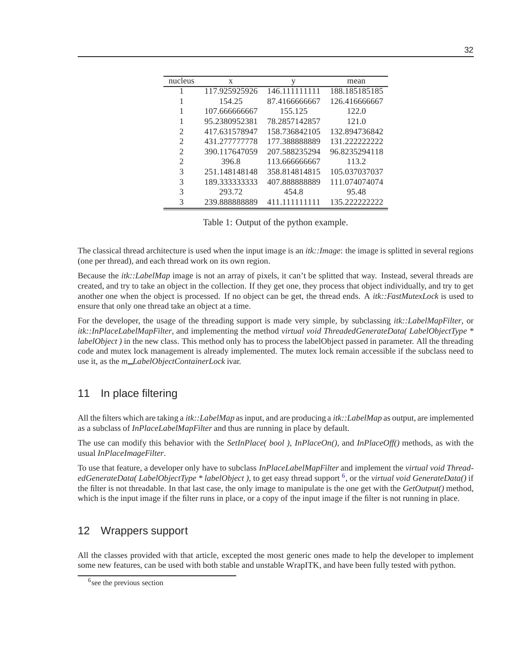| nucleus        | X             | V             | mean          |
|----------------|---------------|---------------|---------------|
|                | 117.925925926 | 146.111111111 | 188.185185185 |
|                | 154.25        | 87.4166666667 | 126.416666667 |
|                | 107.666666667 | 155.125       | 122.0         |
|                | 95.2380952381 | 78.2857142857 | 121.0         |
| 2              | 417.631578947 | 158.736842105 | 132.894736842 |
| 2              | 431.277777778 | 177.388888889 | 131.222222222 |
| 2              | 390.117647059 | 207.588235294 | 96.8235294118 |
| $\mathfrak{D}$ | 396.8         | 113.666666667 | 113.2         |
| 3              | 251.148148148 | 358.814814815 | 105.037037037 |
| 3              | 189.333333333 | 407.888888889 | 111.074074074 |
| 3              | 293.72        | 454.8         | 95.48         |
| 3              | 239.888888889 | 411.111111111 | 135.222222222 |

Table 1: Output of the python example.

The classical thread architecture is used when the input image is an *itk::Image*: the image is splitted in several regions (one per thread), and each thread work on its own region.

Because the *itk::LabelMap* image is not an array of pixels, it can't be splitted that way. Instead, several threads are created, and try to take an object in the collection. If they get one, they process that object individually, and try to get another one when the object is processed. If no object can be get, the thread ends. A *itk::FastMutexLock* is used to ensure that only one thread take an object at a time.

For the developer, the usage of the threading support is made very simple, by subclassing *itk::LabelMapFilter*, or *itk::InPlaceLabelMapFilter*, and implementing the method *virtual void ThreadedGenerateData( LabelObjectType \* labelObject* ) in the new class. This method only has to process the labelObject passed in parameter. All the threading code and mutex lock management is already implemented. The mutex lock remain accessible if the subclass need to use it, as the *m LabelObjectContainerLock* ivar.

# <span id="page-31-0"></span>11 In place filtering

All the filters which are taking a *itk::LabelMap* as input, and are producing a *itk::LabelMap* as output, are implemented as a subclass of *InPlaceLabelMapFilter* and thus are running in place by default.

The use can modify this behavior with the *SetInPlace( bool )*, *InPlaceOn()*, and *InPlaceOff()* methods, as with the usual *InPlaceImageFilter*.

To use that feature, a developer only have to subclass *InPlaceLabelMapFilter* and implement the *virtual void ThreadedGenerateData( LabelObjectType \* labelObject )*, to get easy thread support [6](#page-31-2) , or the *virtual void GenerateData()* if the filter is not threadable. In that last case, the only image to manipulate is the one get with the *GetOutput()* method, which is the input image if the filter runs in place, or a copy of the input image if the filter is not running in place.

# <span id="page-31-1"></span>12 Wrappers support

All the classes provided with that article, excepted the most generic ones made to help the developer to implement some new features, can be used with both stable and unstable WrapITK, and have been fully tested with python.

<span id="page-31-2"></span><sup>&</sup>lt;sup>6</sup> see the previous section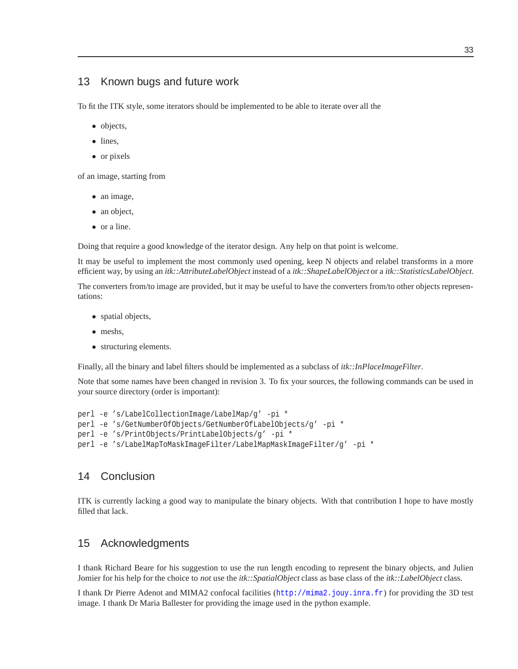### <span id="page-32-0"></span>13 Known bugs and future work

To fit the ITK style, some iterators should be implemented to be able to iterate over all the

- objects,
- lines,
- or pixels

of an image, starting from

- an image,
- an object,
- or a line.

Doing that require a good knowledge of the iterator design. Any help on that point is welcome.

It may be useful to implement the most commonly used opening, keep N objects and relabel transforms in a more efficient way, by using an *itk::AttributeLabelObject* instead of a *itk::ShapeLabelObject* or a *itk::StatisticsLabelObject*.

The converters from/to image are provided, but it may be useful to have the converters from/to other objects representations:

- spatial objects,
- meshs,
- structuring elements.

Finally, all the binary and label filters should be implemented as a subclass of *itk::InPlaceImageFilter*.

Note that some names have been changed in revision 3. To fix your sources, the following commands can be used in your source directory (order is important):

```
perl -e 's/LabelCollectionImage/LabelMap/g' -pi *
perl -e 's/GetNumberOfObjects/GetNumberOfLabelObjects/g' -pi *
perl -e 's/PrintObjects/PrintLabelObjects/g' -pi *
perl -e 's/LabelMapToMaskImageFilter/LabelMapMaskImageFilter/g' -pi *
```
### <span id="page-32-1"></span>14 Conclusion

ITK is currently lacking a good way to manipulate the binary objects. With that contribution I hope to have mostly filled that lack.

### <span id="page-32-2"></span>15 Acknowledgments

I thank Richard Beare for his suggestion to use the run length encoding to represent the binary objects, and Julien Jomier for his help for the choice to *not* use the *itk::SpatialObject* class as base class of the *itk::LabelObject* class.

I thank Dr Pierre Adenot and MIMA2 confocal facilities (<http://mima2.jouy.inra.fr>) for providing the 3D test image. I thank Dr Maria Ballester for providing the image used in the python example.